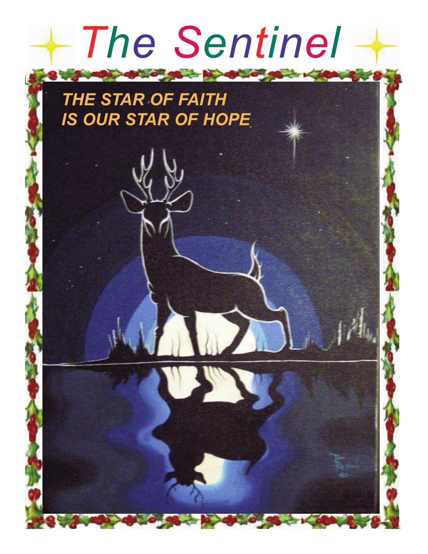# *The Sentinel*

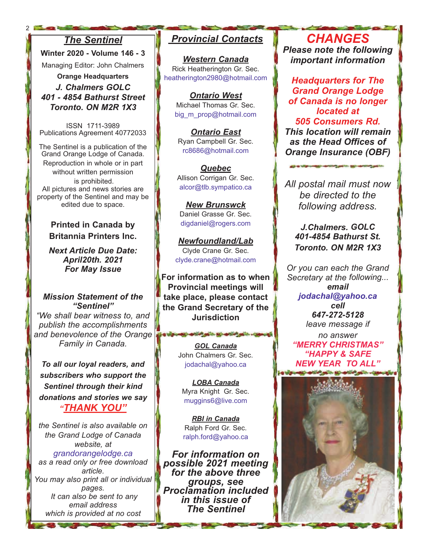#### *The Sentinel*

2

**Winter 2020 - Volume 146 - 3** Managing Editor: John Chalmers

**Orange Headquarters** *J. Chalmers GOLC 401 - 4854 Bathurst Street Toronto. ON M2R 1X3*

ISSN 1711-3989 Publications Agreement 40772033

The Sentinel is a publication of the Grand Orange Lodge of Canada. Reproduction in whole or in part without written permission is prohibited. All pictures and news stories are property of the Sentinel and may be edited due to space.

> **Printed in Canada by Britannia Printers Inc.**

> *Next Article Due Date: April20th. 2021 For May Issue*

#### *Mission Statement of the "Sentinel"*

*"We shall bear witness to, and publish the accomplishments and benevolence of the Orange Family in Canada.*

*To all our loyal readers, and subscribers who support the Sentinel through their kind donations and stories we say "THANK YOU"*

*the Sentinel is also available on the Grand Lodge of Canada website, at grandorangelodge.ca as a read only or free download article. You may also print all or individual pages. It can also be sent to any email address which is provided at no cost* 

### *Provincial Contacts*

*Western Canada* Rick Heatherington Gr. Sec. heatherington2980@hotmail.com

*Ontario West* Michael Thomas Gr. Sec. big m\_prop@hotmail.com

*Ontario East* Ryan Campbell Gr. Sec. rc8686@hotmail.com

*Quebec* Allison Corrigan Gr. Sec. alcor@tlb.sympatico.ca

*New Brunswck* Daniel Grasse Gr. Sec. digdaniel@rogers.com

*Newfoundland/Lab* Clyde Crane Gr. Sec. clyde.crane@hotmail.com

**For information as to when Provincial meetings will take place, please contact the Grand Secretary of the Jurisdiction**

> *GOL Canada* John Chalmers Gr. Sec. jodachal@yahoo.ca

a vigication and of your home and of your state

*LOBA Canada* Myra Knight Gr. Sec. muggins6@live.com

*RBI in Canada* Ralph Ford Gr. Sec. ralph.ford@yahoo.ca

*For information on possible 2021 meeting for the above three groups, see Proclamation included in this issue of The Sentinel*

*CHANGES Please note the following important information*

*Headquarters for The Grand Orange Lodge of Canada is no longer located at 505 Consumers Rd. This location will remain as the Head Offices of Orange Insurance (OBF)*

*All postal mail must now be directed to the following address.*

> *J.Chalmers. GOLC 401-4854 Bathurst St. Toronto. ON M2R 1X3*

*Or you can each the Grand Secretary at the following... email jodachal@yahoo.ca cell 647-272-5128 leave message if* 

*no answer "MERRY CHRISTMAS" "HAPPY & SAFE NEW YEAR TO ALL"*

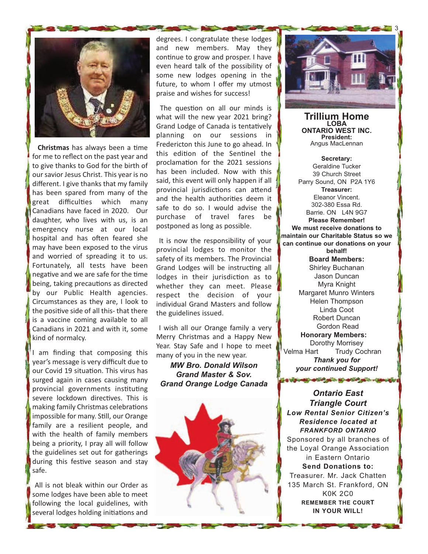

**Christmas** has always been a time for me to reflect on the past year and to give thanks to God for the birth of our savior Jesus Christ. This year is no different. I give thanks that my family has been spared from many of the great difficulties which many Canadians have faced in 2020. Our daughter, who lives with us, is an emergency nurse at our local hospital and has often feared she may have been exposed to the virus and worried of spreading it to us. Fortunately, all tests have been negative and we are safe for the time being, taking precautions as directed by our Public Health agencies. Circumstances as they are, I look to the positive side of all this- that there is a vaccine coming available to all Canadians in 2021 and with it, some kind of normalcy.

I am finding that composing this year's message is very difficult due to our Covid 19 situation. This virus has surged again in cases causing many provincial governments instituting severe lockdown directives. This is making family Christmas celebrations impossible for many. Still, our Orange family are a resilient people, and with the health of family members being a priority, I pray all will follow the guidelines set out for gatherings during this festive season and stay safe.

All is not bleak within our Order as some lodges have been able to meet following the local guidelines, with several lodges holding initiations and

degrees. I congratulate these lodges and new members. May they continue to grow and prosper. I have even heard talk of the possibility of some new lodges opening in the future, to whom I offer my utmost praise and wishes for success!

The question on all our minds is what will the new year 2021 bring? Grand Lodge of Canada is tentatively planning on our sessions in Fredericton this June to go ahead. In this edition of the Sentinel the proclamation for the 2021 sessions has been included. Now with this said, this event will only happen if all provincial jurisdictions can attend and the health authorities deem it safe to do so. I would advise the purchase of travel fares be postponed as long as possible.

It is now the responsibility of your provincial lodges to monitor the safety of its members. The Provincial Grand Lodges will be instructing all lodges in their jurisdiction as to whether they can meet. Please respect the decision of your individual Grand Masters and follow the guidelines issued.

I wish all our Orange family a very Merry Christmas and a Happy New Year. Stay Safe and I hope to meet many of you in the new year.

*MW Bro. Donald Wilson Grand Master & Sov. Grand Orange Lodge Canada*





**Trillium Home LOBA ONTARIO WEST INC. President:** Angus MacLennan

**Secretary:** Geraldine Tucker 39 Church Street Parry Sound, ON P2A 1Y6 **Treasurer:** Eleanor Vincent. 302-380 Essa Rd. Barrie. ON L4N 9G7 **Please Remember! We must receive donations to maintain our Charitable Status so we can continue our donations on your behalf! Board Members:** Shirley Buchanan Jason Duncan Myra Knight Margaret Munro Winters Helen Thompson Linda Coot Robert Duncan Gordon Read **Honorary Members:** Dorothy Morrisey<br>Velma Hart Trudy Coo Trudy Cochran *Thank you for your continued Support!*

*Ontario East Triangle Court Low Rental Senior Citizen's Residence located at FRANKFORD ONTARIO* Sponsored by all branches of the Loyal Orange Association in Eastern Ontario **Send Donations to:** Treasurer. Mr. Jack Chatten 135 March St. Frankford, ON K0K 2C0 **REMEMBER THE COURT IN YOUR WILL!**

TO VISIT AND AND SOME IN AND SOLD COMMON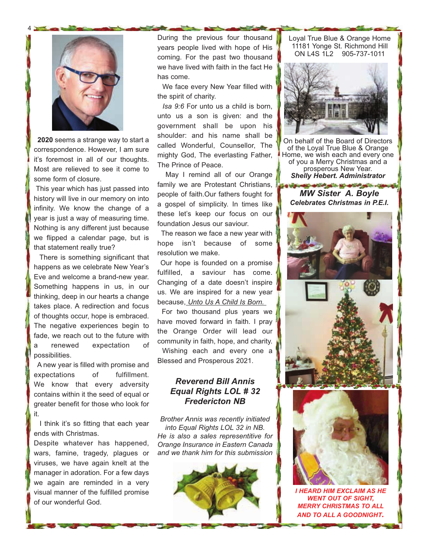

4

**2020** seems a strange way to start a correspondence. However, I am sure it's foremost in all of our thoughts. Most are relieved to see it come to some form of closure.

This year which has just passed into history will live in our memory on into infinity. We know the change of a year is just a way of measuring time. Nothing is any different just because we flipped a calendar page, but is that statement really true?

There is something significant that happens as we celebrate New Year's Eve and welcome a brand-new year. Something happens in us, in our thinking, deep in our hearts a change takes place. A redirection and focus of thoughts occur, hope is embraced. The negative experiences begin to fade, we reach out to the future with a renewed expectation of possibilities.

A new year is filled with promise and expectations of fulfillment. We know that every adversity contains within it the seed of equal or greater benefit for those who look for it.

I think it's so fitting that each year ends with Christmas.

Despite whatever has happened, wars, famine, tragedy, plagues or viruses, we have again knelt at the manager in adoration. For a few days we again are reminded in a very visual manner of the fulfilled promise of our wonderful God.

During the previous four thousand years people lived with hope of His coming. For the past two thousand we have lived with faith in the fact He has come.

We face every New Year filled with the spirit of charity.

*Isa 9:6* For unto us a child is born, unto us a son is given: and the government shall be upon his shoulder: and his name shall be called Wonderful, Counsellor, The mighty God, The everlasting Father, The Prince of Peace.

May I remind all of our Orange family we are Protestant Christians, people of faith.Our fathers fought for a gospel of simplicity. In times like these let's keep our focus on our foundation Jesus our saviour.

The reason we face a new year with hope isn't because of some resolution we make.

Our hope is founded on a promise fulfilled, a saviour has come. Changing of a date doesn't inspire us. We are inspired for a new year because, *Unto Us A Child Is Born.* 

For two thousand plus years we have moved forward in faith. I pray the Orange Order will lead our community in faith, hope, and charity.

Wishing each and every one a Blessed and Prosperous 2021.

#### *Reverend Bill Annis Equal Rights LOL # 32 Fredericton NB*

*Brother Annis was recently initiated into Equal Rights LOL 32 in NB. He is also a sales representitive for Orange Insurance in Eastern Canada and we thank him for this submission*



Loyal True Blue & Orange Home 11181 Yonge St. Richmond Hill ON L4S 1L2 905-737-1011



On behalf of the Board of Directors of the Loyal True Blue & Orange Home, we wish each and every one of you a Merry Christmas and a prosperous New Year. *Shelly Hebert. Administrator*

*MW Sister A. Boyle Celebrates Christmas in P.E.I.*

SEE WELL STATES IN STATES IN THE





*I HEARD HIM EXCLAIM AS HE WENT OUT OF SIGHT, MERRY CHRISTMAS TO ALL AND TO ALL A GOODNIGHT.*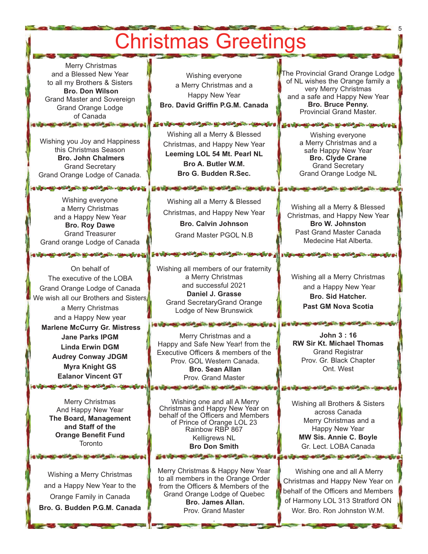## Christmas Greetings

Merry Christmas and a Blessed New Year to all my Brothers & Sisters **Bro. Don Wilson** Grand Master and Sovereign Grand Orange Lodge of Canada

Wishing you Joy and Happiness this Christmas Season **Bro. John Chalmers** Grand Secretary Grand Orange Lodge of Canada.

**CONTRACTOR OF A PARTICIPATION AND INCOME.** 

Wishing everyone a Merry Christmas and a Happy New Year **Bro. Roy Dawe** Grand Treasurer Grand orange Lodge of Canada

On behalf of The executive of the LOBA Grand Orange Lodge of Canada We wish all our Brothers and Sisters a Merry Christmas and a Happy New year **Marlene McCurry Gr. Mistress Jane Parks IPGM Linda Erwin DGM Audrey Conway JDGM Myra Knight GS Ealanor Vincent GT Control of the American of the American** 

> Merry Christmas And Happy New Year **The Board, Management and Staff of the Orange Benefit Fund Toronto**

Wishing a Merry Christmas and a Happy New Year to the Orange Family in Canada **Bro. G. Budden P.G.M. Canada**

**CONTRACTOR OF A REAL AND A REAL AND A** 

Wishing everyone a Merry Christmas and a Happy New Year **Bro. David Griffin P.G.M. Canada**

Wishing all a Merry & Blessed Christmas, and Happy New Year **Leeming LOL 54 Mt. Pearl NL Bro A. Butler W.M. Bro G. Budden R.Sec.**

**STORE - IS OF STARTING** 

Wishing all a Merry & Blessed Christmas, and Happy New Year **Bro. Calvin Johnson**  Grand Master PGOL N.B

ESVENIS STATISTICS IN STATISTICS CONTRACTOR

Wishing all members of our fraternity a Merry Christmas and successful 2021 **Daniel J. Grasse** Grand SecretaryGrand Orange Lodge of New Brunswick

Merry Christmas and a Happy and Safe New Year! from the Executive Officers & members of the Prov. GOL Western Canada. **Bro. Sean Allan** Prov. Grand Master **CUSTOMER WITH THE REPORT OF A REPORT** 

Wishing one and all A Merry Christmas and Happy New Year on behalf of the Officers and Members of Prince of Orange LOL 23 Rainbow RBP 867 Kelligrews NL **Bro Don Smith**

بالهم المتنافه بالأسليم المتناف بالمستوي

Merry Christmas & Happy New Year to all members in the Orange Order from the Officers & Members of the Grand Orange Lodge of Quebec **Bro. James Allan.**  Prov. Grand Master

.

The Provincial Grand Orange Lodge of NL wishes the Orange family a very Merry Christmas and a safe and Happy New Year **Bro. Bruce Penny.**  Provincial Grand Master.

5

Wishing everyone a Merry Christmas and a safe Happy New Year **Bro. Clyde Crane** Grand Secretary Grand Orange Lodge NL

**CONTRACTOR AND INCOME.** 

ESTATE OF CALIFORNIA

**The Wa** 

**U.S. U.S. HOLD 45** 

Wishing all a Merry & Blessed Christmas, and Happy New Year **Bro W. Johnston** Past Grand Master Canada Medecine Hat Alberta.

Not the company of the company of

Wishing all a Merry Christmas and a Happy New Year **Bro. Sid Hatcher. Past GM Nova Scotia**

**John 3 : 16 RW Sir Kt. Michael Thomas** Grand Registrar Prov. Gr. Black Chapter Ont. West

Wishing all Brothers & Sisters across Canada Merry Christmas and a Happy New Year **MW Sis. Annie C. Boyle** Gr. Lect. LOBA Canada

The most of the state of the state

Wishing one and all A Merry Christmas and Happy New Year on behalf of the Officers and Members of Harmony LOL 313 Stratford ON Wor. Bro. Ron Johnston W.M.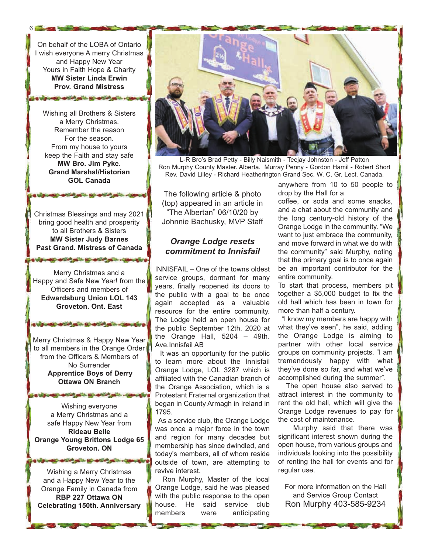On behalf of the LOBA of Ontario I wish everyone A merry Christmas and Happy New Year Yours in Faith Hope & Charity **MW Sister Linda Erwin Prov. Grand Mistress**

article on the same of the same

 $6 -$ 

Wishing all Brothers & Sisters a Merry Christmas. Remember the reason For the season. From my house to yours keep the Faith and stay safe **MW Bro. Jim Pyke. Grand Marshal/Historian GOL Canada**

Christmas Blessings and may 2021 bring good health and prosperity to all Brothers & Sisters **MW Sister Judy Barnes Past Grand. Mistress of Canada**

Merry Christmas and a Happy and Safe New Year! from the Officers and members of **Edwardsburg Union LOL 143 Groveton. Ont. East**

the state of the state of the state of the state

The same of the second state of the

Merry Christmas & Happy New Year to all members in the Orange Order from the Officers & Members of No Surrender **Apprentice Boys of Derry Ottawa ON Branch**

Wishing everyone a Merry Christmas and a safe Happy New Year from **Rideau Belle Orange Young Brittons Lodge 65 Groveton. ON**

**SOLUTION AND ARTISTS** 

Wishing a Merry Christmas and a Happy New Year to the Orange Family in Canada from **RBP 227 Ottawa ON Celebrating 150th. Anniversary**

பிதியாதும் அறிவி ஆட்ட இட்டியிலி அடிப்பட்டுக்கப்படும் ஓ



L-R Bro's Brad Petty - Billy Naismith - Teejay Johnston - Jeff Patton Ron Murphy County Master. Alberta. Murray Penny - Gordon Hamil - Robert Short Rev. David Lilley - Richard Heatherington Grand Sec. W. C. Gr. Lect. Canada.

The following article & photo (top) appeared in an article in "The Albertan" 06/10/20 by Johnnie Bachusky, MVP Staff

#### *Orange Lodge resets commitment to Innisfail*

INNISFAIL – One of the towns oldest service groups, dormant for many years, finally reopened its doors to the public with a goal to be once again accepted as a valuable resource for the entire community. The Lodge held an open house for the public September 12th. 2020 at the Orange Hall, 5204 – 49th. Ave.Innisfail AB

It was an opportunity for the public to learn more about the Innisfail Orange Lodge, LOL 3287 which is affiliated with the Canadian branch of the Orange Association, which is a Protestant Fraternal organization that began in County Armagh in Ireland in 1795.

As a service club, the Orange Lodge was once a major force in the town and region for many decades but membership has since dwindled, and today's members, all of whom reside outside of town, are attempting to revive interest.

Ron Murphy, Master of the local Orange Lodge, said he was pleased with the public response to the open house. He said service club members were anticipating

anywhere from 10 to 50 people to drop by the Hall for a

coffee, or soda and some snacks, and a chat about the community and the long century-old history of the Orange Lodge in the community. "We want to just embrace the community, and move forward in what we do with the community" said Murphy, noting that the primary goal is to once again be an important contributor for the entire community.

To start that process, members pit together a \$5,000 budget to fix the old hall which has been in town for more than half a century.

"I know my members are happy with what they've seen", he said, adding the Orange Lodge is aiming to partner with other local service groups on community projects. "I am tremendously happy with what they've done so far, and what we've accomplished during the summer".

The open house also served to attract interest in the community to rent the old hall, which will give the Orange Lodge revenues to pay for the cost of maintenance.

Murphy said that there was significant interest shown during the open house, from various groups and individuals looking into the possibility of renting the hall for events and for regular use.

For more information on the Hall and Service Group Contact Ron Murphy 403-585-9234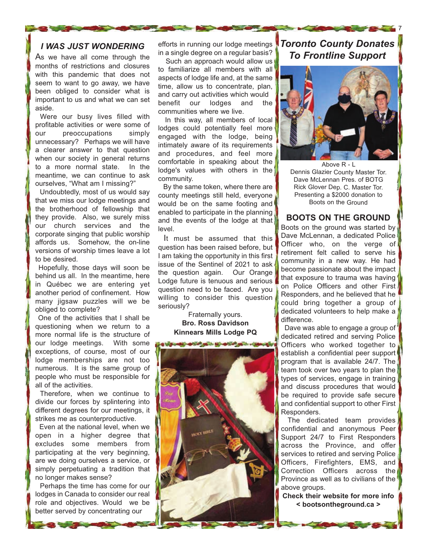#### *I WAS JUST WONDERING*

As we have all come through the months of restrictions and closures with this pandemic that does not seem to want to go away, we have been obliged to consider what is important to us and what we can set aside.

Were our busy lives filled with profitable activities or were some of our preoccupations simply unnecessary? Perhaps we will have a clearer answer to that question when our society in general returns to a more normal state. In the meantime, we can continue to ask ourselves, "What am I missing?"

Undoubtedly, most of us would say that we miss our lodge meetings and the brotherhood of fellowship that they provide. Also, we surely miss our church services and the corporate singing that public worship affords us. Somehow, the on-line versions of worship times leave a lot to be desired.

Hopefully, those days will soon be behind us all. In the meantime, here in Québec we are entering yet another period of confinement. How many jigsaw puzzles will we be obliged to complete?

One of the activities that I shall be questioning when we return to a more normal life is the structure of our lodge meetings. With some exceptions, of course, most of our lodge memberships are not too numerous. It is the same group of people who must be responsible for all of the activities.

Therefore, when we continue to divide our forces by splintering into different degrees for our meetings, it strikes me as counterproductive.

Even at the national level, when we open in a higher degree that excludes some members from participating at the very beginning, are we doing ourselves a service, or simply perpetuating a tradition that no longer makes sense?

Perhaps the time has come for our lodges in Canada to consider our real role and objectives. Would we be better served by concentrating our

efforts in running our lodge meetings in a single degree on a regular basis?

Such an approach would allow us to familiarize all members with all aspects of lodge life and, at the same time, allow us to concentrate, plan, and carry out activities which would benefit our lodges and the communities where we live.

In this way, all members of local lodges could potentially feel more engaged with the lodge, being intimately aware of its requirements and procedures, and feel more comfortable in speaking about the lodge's values with others in the community.

By the same token, where there are county meetings still held, everyone would be on the same footing and enabled to participate in the planning and the events of the lodge at that level.

It must be assumed that this question has been raised before, but I am taking the opportunity in this first issue of the Sentinel of 2021 to ask the question again. Our Orange Lodge future is tenuous and serious question need to be faced. Are you willing to consider this question seriously?

> Fraternally yours. **Bro. Ross Davidson Kinnears Mills Lodge PQ**



### *Toronto County Donates To Frontline Support*

7



Above R - L Dennis Glazier County Master Tor. Dave McLennan Pres. of BOTG Rick Glover Dep. C. Master Tor. Presenting a \$2000 donation to Boots on the Ground

#### **BOOTS ON THE GROUND**

Boots on the ground was started by Dave McLennan, a dedicated Police Officer who, on the verge of retirement felt called to serve his community in a new way. He had become passionate about the impact that exposure to trauma was having on Police Officers and other First Responders, and he believed that he could bring together a group of dedicated volunteers to help make a difference.

Dave was able to engage a group of dedicated retired and serving Police Officers who worked together to establish a confidential peer support program that is available 24/7. The team took over two years to plan the types of services, engage in training and discuss procedures that would be required to provide safe secure and confidential support to other First Responders.

The dedicated team provides confidential and anonymous Peer Support 24/7 to First Responders across the Province, and offer services to retired and serving Police Officers, Firefighters, EMS, and Correction Officers across the Province as well as to civilians of the above groups.

**Check their website for more info < bootsontheground.ca >**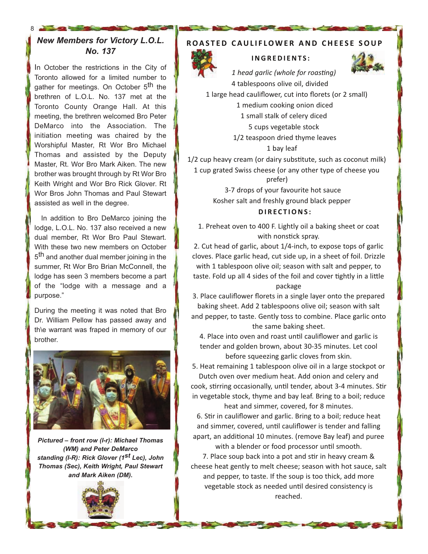#### *New Members for Victory L.O.L. No. 137*

8

In October the restrictions in the City of Toronto allowed for a limited number to gather for meetings. On October 5<sup>th</sup> the brethren of L.O.L. No. 137 met at the Toronto County Orange Hall. At this meeting, the brethren welcomed Bro Peter DeMarco into the Association. The initiation meeting was chaired by the Worshipful Master, Rt Wor Bro Michael Thomas and assisted by the Deputy Master, Rt. Wor Bro Mark Aiken. The new brother was brought through by Rt Wor Bro Keith Wright and Wor Bro Rick Glover. Rt Wor Bros John Thomas and Paul Stewart assisted as well in the degree.

In addition to Bro DeMarco joining the lodge, L.O.L. No. 137 also received a new dual member, Rt Wor Bro Paul Stewart. With these two new members on October 5<sup>th</sup> and another dual member joining in the summer, Rt Wor Bro Brian McConnell, the lodge has seen 3 members become a part of the "lodge with a message and a purpose."

During the meeting it was noted that Bro Dr. William Pellow has passed away and th\e warrant was fraped in memory of our brother.



*Pictured – front row (l-r): Michael Thomas (WM) and Peter DeMarco standing (l-R): Rick Glover (1st Lec), John Thomas (Sec), Keith Wright, Paul Stewart and Mark Aiken (DM).*



#### **ROASTED CAULIFLOWER AND CHEESE SOUP**



#### **I N G R E D I E N T S :**

*1 head garlic (whole for roasting)* 4 tablespoons olive oil, divided



1 large head cauliflower, cut into florets (or 2 small) 1 medium cooking onion diced 1 small stalk of celery diced 5 cups vegetable stock 1/2 teaspoon dried thyme leaves 1 bay leaf

1/2 cup heavy cream (or dairy substitute, such as coconut milk) 1 cup grated Swiss cheese (or any other type of cheese you

prefer)

3-7 drops of your favourite hot sauce Kosher salt and freshly ground black pepper **D I R E C T I O N S :**

1. Preheat oven to 400 F. Lightly oil a baking sheet or coat with nonstick spray.

2. Cut head of garlic, about 1/4-inch, to expose tops of garlic cloves. Place garlic head, cut side up, in a sheet of foil. Drizzle with 1 tablespoon olive oil; season with salt and pepper, to taste. Fold up all 4 sides of the foil and cover tightly in a little package

3. Place cauliflower florets in a single layer onto the prepared baking sheet. Add 2 tablespoons olive oil; season with salt and pepper, to taste. Gently toss to combine. Place garlic onto the same baking sheet.

4. Place into oven and roast until cauliflower and garlic is tender and golden brown, about 30-35 minutes. Let cool before squeezing garlic cloves from skin.

5. Heat remaining 1 tablespoon olive oil in a large stockpot or Dutch oven over medium heat. Add onion and celery and cook, stirring occasionally, until tender, about 3-4 minutes. Stir in vegetable stock, thyme and bay leaf. Bring to a boil; reduce

heat and simmer, covered, for 8 minutes. 6. Stir in cauliflower and garlic. Bring to a boil; reduce heat and simmer, covered, until cauliflower is tender and falling apart, an additional 10 minutes. (remove Bay leaf) and puree with a blender or food processor until smooth.

7. Place soup back into a pot and stir in heavy cream & cheese heat gently to melt cheese; season with hot sauce, salt and pepper, to taste. If the soup is too thick, add more vegetable stock as needed until desired consistency is reached.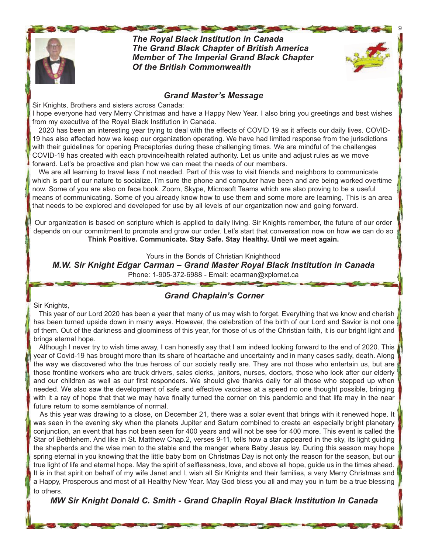

*The Royal Black Institution in Canada The Grand Black Chapter of British America Member of The Imperial Grand Black Chapter Of the British Commonwealth*



9

#### *Grand Master's Message*

**CONTRACTOR** 

Sir Knights, Brothers and sisters across Canada:

I hope everyone had very Merry Christmas and have a Happy New Year. I also bring you greetings and best wishes from my executive of the Royal Black Institution in Canada.

2020 has been an interesting year trying to deal with the effects of COVID 19 as it affects our daily lives. COVID-19 has also affected how we keep our organization operating. We have had limited response from the jurisdictions with their guidelines for opening Preceptories during these challenging times. We are mindful of the challenges COVID-19 has created with each province/health related authority. Let us unite and adjust rules as we move forward. Let's be proactive and plan how we can meet the needs of our members.

We are all learning to travel less if not needed. Part of this was to visit friends and neighbors to communicate which is part of our nature to socialize. I'm sure the phone and computer have been and are being worked overtime now. Some of you are also on face book. Zoom, Skype, Microsoft Teams which are also proving to be a useful means of communicating. Some of you already know how to use them and some more are learning. This is an area that needs to be explored and developed for use by all levels of our organization now and going forward.

Our organization is based on scripture which is applied to daily living. Sir Knights remember, the future of our order depends on our commitment to promote and grow our order. Let's start that conversation now on how we can do so **Think Positive. Communicate. Stay Safe. Stay Healthy. Until we meet again.**

Yours in the Bonds of Christian Knighthood

*M.W. Sir Knight Edgar Carman – Grand Master Royal Black Institution in Canada*

Phone: 1-905-372-6988 - Email: ecarman@xplornet.ca

#### *Grand Chaplain's Corner*

Sir Knights,

This year of our Lord 2020 has been a year that many of us may wish to forget. Everything that we know and cherish has been turned upside down in many ways. However, the celebration of the birth of our Lord and Savior is not one of them. Out of the darkness and gloominess of this year, for those of us of the Christian faith, it is our bright light and brings eternal hope.

Although I never try to wish time away, I can honestly say that I am indeed looking forward to the end of 2020. This year of Covid-19 has brought more than its share of heartache and uncertainty and in many cases sadly, death. Along the way we discovered who the true heroes of our society really are. They are not those who entertain us, but are those frontline workers who are truck drivers, sales clerks, janitors, nurses, doctors, those who look after our elderly and our children as well as our first responders. We should give thanks daily for all those who stepped up when needed. We also saw the development of safe and effective vaccines at a speed no one thought possible, bringing with it a ray of hope that that we may have finally turned the corner on this pandemic and that life may in the near future return to some semblance of normal.

As this year was drawing to a close, on December 21, there was a solar event that brings with it renewed hope. It was seen in the evening sky when the planets Jupiter and Saturn combined to create an especially bright planetary conjunction, an event that has not been seen for 400 years and will not be see for 400 more. This event is called the Star of Bethlehem. And like in St. Matthew Chap.2, verses 9-11, tells how a star appeared in the sky, its light guiding the shepherds and the wise men to the stable and the manger where Baby Jesus lay. During this season may hope spring eternal in you knowing that the little baby born on Christmas Day is not only the reason for the season, but our true light of life and eternal hope. May the spirit of selflessness, love, and above all hope, guide us in the times ahead. It is in that spirit on behalf of my wife Janet and I, wish all Sir Knights and their families, a very Merry Christmas and a Happy, Prosperous and most of all Healthy New Year. May God bless you all and may you in turn be a true blessing to others.

#### *MW Sir Knight Donald C. Smith - Grand Chaplin Royal Black Institution In Canada*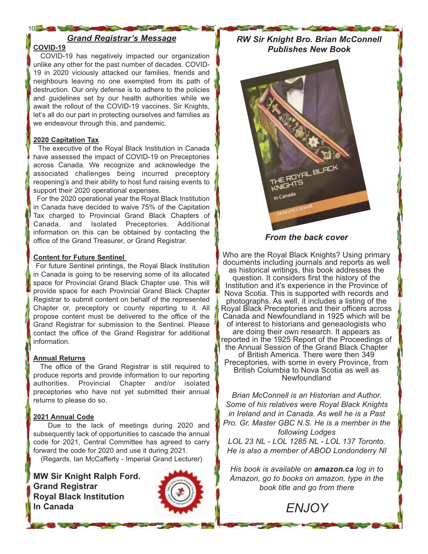#### *Grand Registrar's Message*

#### **COVID-19**

10 20 30 30

COVID-19 has negatively impacted our organization unlike any other for the past number of decades. COVID-19 in 2020 viciously attacked our families, friends and neighbours leaving no one exempted from its path of destruction. Our only defense is to adhere to the policies and guidelines set by our health authorities while we await the rollout of the COVID-19 vaccines. Sir Knights, let's all do our part in protecting ourselves and families as we endeavour through this, and pandemic.

#### **2020 Capitation Tax**

The executive of the Royal Black Institution in Canada have assessed the impact of COVID-19 on Preceptories across Canada. We recognize and acknowledge the associated challenges being incurred preceptory reopening's and their ability to host fund raising events to support their 2020 operational expenses.

For the 2020 operational year the Royal Black Institution in Canada have decided to waive 75% of the Capitation Tax charged to Provincial Grand Black Chapters of Canada, and Isolated Preceptories. Additional information on this can be obtained by contacting the office of the Grand Treasurer, or Grand Registrar.

#### **Content for Future Sentinel**

For future Sentinel printings, the Royal Black Institution in Canada is going to be reserving some of its allocated space for Provincial Grand Black Chapter use. This will provide space for each Provincial Grand Black Chapter Registrar to submit content on behalf of the represented Chapter or, preceptory or county reporting to it. All propose content must be delivered to the office of the Grand Registrar for submission to the Sentinel. Please contact the office of the Grand Registrar for additional information.

#### **Annual Returns**

The office of the Grand Registrar is still required to produce reports and provide information to our reporting authorities. Provincial Chapter and/or isolated preceptories who have not yet submitted their annual returns to please do so.

#### **2021 Annual Code**

Due to the lack of meetings during 2020 and subsequently lack of opportunities to cascade the annual code for 2021, Central Committee has agreed to carry forward the code for 2020 and use it during 2021.

(Regards, Ian McCafferty - Imperial Grand Lecturer)

**MW Sir Knight Ralph Ford. Grand Registrar Royal Black Institution In Canada**



*RW Sir Knight Bro. Brian McConnell Publishes New Book*



*From the back cover*

Who are the Royal Black Knights? Using primary documents including journals and reports as well as historical writings, this book addresses the question. It considers first the history of the Institution and it's experience in the Province of Nova Scotia. This is supported with records and photographs. As well, it includes a listing of the Royal Black Preceptories and their officers across Canada and Newfoundland in 1925 which will be of interest to historians and geneaologists who are doing their own research. It appears as reported in the 1925 Report of the Proceedings of the Annual Session of the Grand Black Chapter of British America. There were then 349 Preceptories, with some in every Province, from British Columbia to Nova Scotia as well as Newfoundland

*Brian McConnell is an Historian and Author. Some of his relatives were Royal Black Knights in Ireland and in Canada. As well he is a Past Pro. Gr. Master GBC N.S. He is a member in the following Lodges LOL 23 NL - LOL 1285 NL - LOL 137 Toronto. He is also a member of ABOD Londonderry NI*

*His book is available on amazon.ca log in to Amazon, go to books on amazon, type in the book title and go from there*

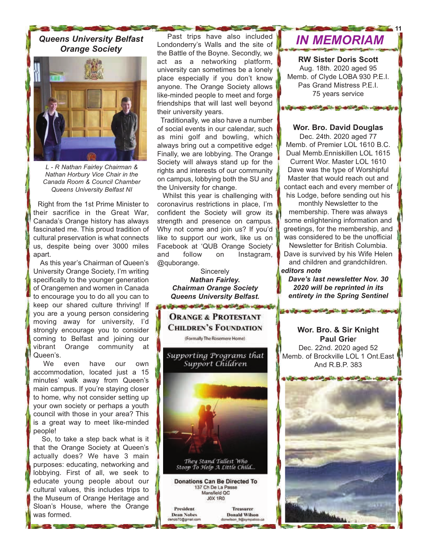## *Orange Society*



*L - R Nathan Fairley Chairman & Nathan Horbury Vice Chair in the Canada Room & Council Chamber Queens University Belfast NI*

Right from the 1st Prime Minister to their sacrifice in the Great War, Canada's Orange history has always fascinated me. This proud tradition of cultural preservation is what connects us, despite being over 3000 miles apart.

As this year's Chairman of Queen's University Orange Society, I'm writing specifically to the younger generation of Orangemen and women in Canada to encourage you to do all you can to keep our shared culture thriving! If you are a young person considering moving away for university, I'd strongly encourage you to consider coming to Belfast and joining our vibrant Orange community at Queen's.

We even have our own accommodation, located just a 15 minutes' walk away from Queen's main campus. If you're staying closer to home, why not consider setting up your own society or perhaps a youth council with those in your area? This is a great way to meet like-minded people!

So, to take a step back what is it that the Orange Society at Queen's actually does? We have 3 main purposes: educating, networking and lobbying. First of all, we seek to educate young people about our cultural values, this includes trips to the Museum of Orange Heritage and Sloan's House, where the Orange was formed.

Past trips have also included Queens University Belfast **Integral Club Condonderry's Walls and the site of <b>IN MEMORIAM** the Battle of the Boyne. Secondly, we act as a networking platform, university can sometimes be a lonely place especially if you don't know anyone. The Orange Society allows like-minded people to meet and forge friendships that will last well beyond their university years.

> Traditionally, we also have a number of social events in our calendar, such as mini golf and bowling, which always bring out a competitive edge! Finally, we are lobbying. The Orange Society will always stand up for the rights and interests of our community on campus, lobbying both the SU and the University for change.

> Whilst this year is challenging with coronavirus restrictions in place, I'm confident the Society will grow its strength and presence on campus. Why not come and join us? If you'd like to support our work, like us on Facebook at 'QUB Orange Society' and follow on Instagram, @quborange.

> > **Sincerely** *Nathan Fairley. Chairman Orange Society Queens University Belfast.*



**11**

**RW Sister Doris Scott** Aug. 18th. 2020 aged 95 Memb. of Clyde LOBA 930 P.E.I. Pas Grand Mistress P.E.I. 75 years service

#### **Wor. Bro. David Douglas**

**Uponet and plan and plan care of** 

Dec. 24th. 2020 aged 77 Memb. of Premier LOL 1610 B.C. Dual Memb.Enniskillen LOL 1615 Current Wor. Master LOL 1610 Dave was the type of Worshipful Master that would reach out and contact each and every member of his Lodge, before sending out his

monthly Newsletter to the membership. There was always some enlightening information and greetings, for the membership, and was considered to be the unofficial Newsletter for British Columbia.

Dave is survived by his Wife Helen and children and grandchildren. *editors note*

*Dave's last newsletter Nov. 30 2020 will be reprinted in its entirety in the Spring Sentinel*

THE STATE WAS COMMANDED FOR THE OWNER WAS COMMANDED

#### **Wor. Bro. & Sir Knight Paul Grie**r

Dec. 22nd. 2020 aged 52 Memb. of Brockville LOL 1 Ont.East And R.B.P. 383